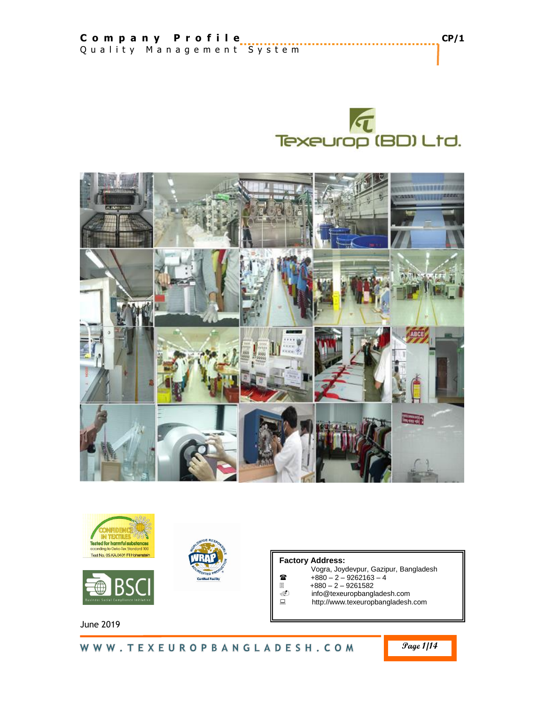|  |  | Company Profile           |  |  |  |  |  |  |  |  |  |  |  |  |  | CP/1 |
|--|--|---------------------------|--|--|--|--|--|--|--|--|--|--|--|--|--|------|
|  |  | Quality Management System |  |  |  |  |  |  |  |  |  |  |  |  |  |      |











#### **Factory Address:**

- Vogra, Joydevpur, Gazipur, Bangladesh
- $\bullet$  +880 2 9262163 4
- $\blacksquare$  +880 2 9261582
- info@texeuropbangladesh.com
- http://www.texeuropbangladesh.com

June 2019

# WWW.TEXEUROPBANGLADESH.COM

**Page 1/14**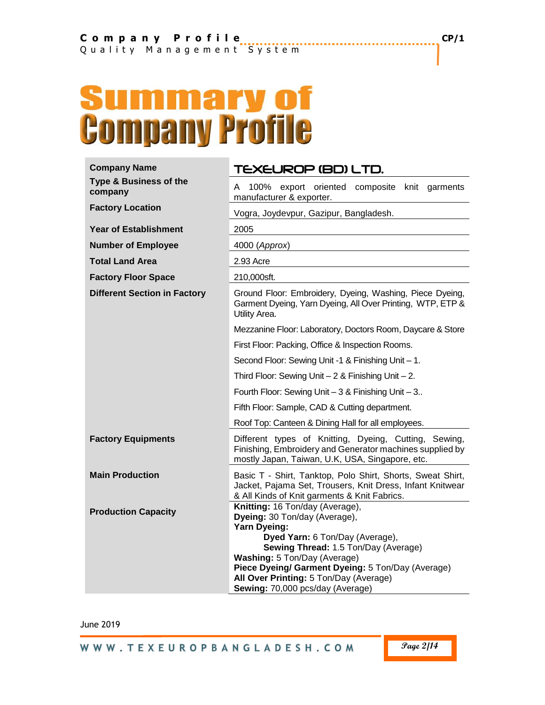# **Summary of Company Profile**

| <b>Company Name</b>                          | TEXEUROP (BD) LTD.                                                                                                                                                      |  |  |  |  |  |  |  |
|----------------------------------------------|-------------------------------------------------------------------------------------------------------------------------------------------------------------------------|--|--|--|--|--|--|--|
| <b>Type &amp; Business of the</b><br>company | 100%<br>export oriented<br>composite<br>knit garments<br>A<br>manufacturer & exporter.                                                                                  |  |  |  |  |  |  |  |
| <b>Factory Location</b>                      | Vogra, Joydevpur, Gazipur, Bangladesh.                                                                                                                                  |  |  |  |  |  |  |  |
| <b>Year of Establishment</b>                 | 2005                                                                                                                                                                    |  |  |  |  |  |  |  |
| <b>Number of Employee</b>                    | 4000 (Approx)                                                                                                                                                           |  |  |  |  |  |  |  |
| <b>Total Land Area</b>                       | 2.93 Acre                                                                                                                                                               |  |  |  |  |  |  |  |
| <b>Factory Floor Space</b>                   | 210,000sft.                                                                                                                                                             |  |  |  |  |  |  |  |
| <b>Different Section in Factory</b>          | Ground Floor: Embroidery, Dyeing, Washing, Piece Dyeing,<br>Garment Dyeing, Yarn Dyeing, All Over Printing, WTP, ETP &<br>Utility Area.                                 |  |  |  |  |  |  |  |
|                                              | Mezzanine Floor: Laboratory, Doctors Room, Daycare & Store                                                                                                              |  |  |  |  |  |  |  |
|                                              | First Floor: Packing, Office & Inspection Rooms.                                                                                                                        |  |  |  |  |  |  |  |
|                                              | Second Floor: Sewing Unit -1 & Finishing Unit - 1.                                                                                                                      |  |  |  |  |  |  |  |
|                                              | Third Floor: Sewing Unit $-2$ & Finishing Unit $-2$ .                                                                                                                   |  |  |  |  |  |  |  |
|                                              | Fourth Floor: Sewing Unit - 3 & Finishing Unit - 3                                                                                                                      |  |  |  |  |  |  |  |
|                                              | Fifth Floor: Sample, CAD & Cutting department.                                                                                                                          |  |  |  |  |  |  |  |
|                                              | Roof Top: Canteen & Dining Hall for all employees.                                                                                                                      |  |  |  |  |  |  |  |
| <b>Factory Equipments</b>                    | Different types of Knitting, Dyeing, Cutting, Sewing,<br>Finishing, Embroidery and Generator machines supplied by<br>mostly Japan, Taiwan, U.K, USA, Singapore, etc.    |  |  |  |  |  |  |  |
| <b>Main Production</b>                       | Basic T - Shirt, Tanktop, Polo Shirt, Shorts, Sweat Shirt,<br>Jacket, Pajama Set, Trousers, Knit Dress, Infant Knitwear<br>& All Kinds of Knit garments & Knit Fabrics. |  |  |  |  |  |  |  |
| <b>Production Capacity</b>                   | Knitting: 16 Ton/day (Average),<br>Dyeing: 30 Ton/day (Average),<br><b>Yarn Dyeing:</b>                                                                                 |  |  |  |  |  |  |  |
|                                              | Dyed Yarn: 6 Ton/Day (Average),<br>Sewing Thread: 1.5 Ton/Day (Average)                                                                                                 |  |  |  |  |  |  |  |
|                                              | Washing: 5 Ton/Day (Average)                                                                                                                                            |  |  |  |  |  |  |  |
|                                              | Piece Dyeing/ Garment Dyeing: 5 Ton/Day (Average)<br>All Over Printing: 5 Ton/Day (Average)                                                                             |  |  |  |  |  |  |  |
|                                              | Sewing: 70,000 pcs/day (Average)                                                                                                                                        |  |  |  |  |  |  |  |

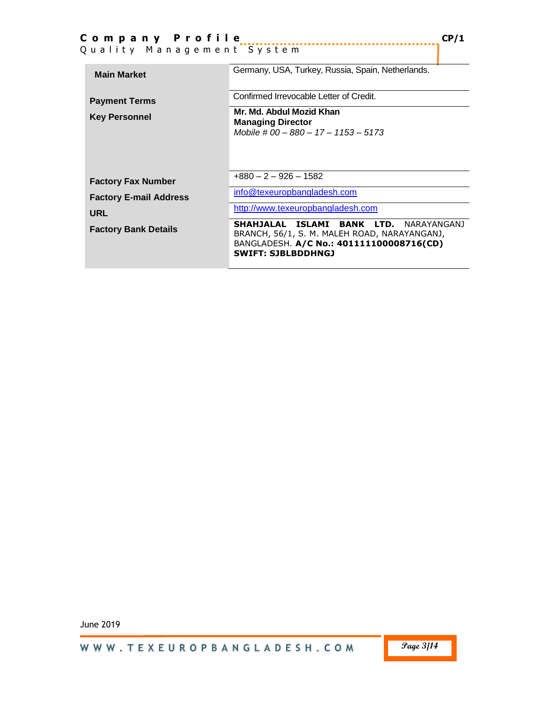|  |  | Company Profile |  |  |  |  |                           | CP/1 |
|--|--|-----------------|--|--|--|--|---------------------------|------|
|  |  |                 |  |  |  |  | Quality Management System |      |

| <b>Main Market</b>            | Germany, USA, Turkey, Russia, Spain, Netherlands.                                                                                                                  |  |  |  |  |  |  |  |
|-------------------------------|--------------------------------------------------------------------------------------------------------------------------------------------------------------------|--|--|--|--|--|--|--|
| <b>Payment Terms</b>          | Confirmed Irrevocable Letter of Credit.                                                                                                                            |  |  |  |  |  |  |  |
| <b>Key Personnel</b>          | Mr. Md. Abdul Mozid Khan<br><b>Managing Director</b><br>Mobile # 00 - 880 - 17 - 1153 - 5173                                                                       |  |  |  |  |  |  |  |
| <b>Factory Fax Number</b>     | $+880 - 2 - 926 - 1582$                                                                                                                                            |  |  |  |  |  |  |  |
| <b>Factory E-mail Address</b> | info@texeuropbangladesh.com                                                                                                                                        |  |  |  |  |  |  |  |
| <b>URL</b>                    | http://www.texeuropbangladesh.com                                                                                                                                  |  |  |  |  |  |  |  |
| <b>Factory Bank Details</b>   | SHAHJALAL ISLAMI BANK LTD.<br>NARAYANGAN1<br>BRANCH, 56/1, S. M. MALEH ROAD, NARAYANGANJ,<br>BANGLADESH. A/C No.: 401111100008716(CD)<br><b>SWIFT: SJBLBDDHNGJ</b> |  |  |  |  |  |  |  |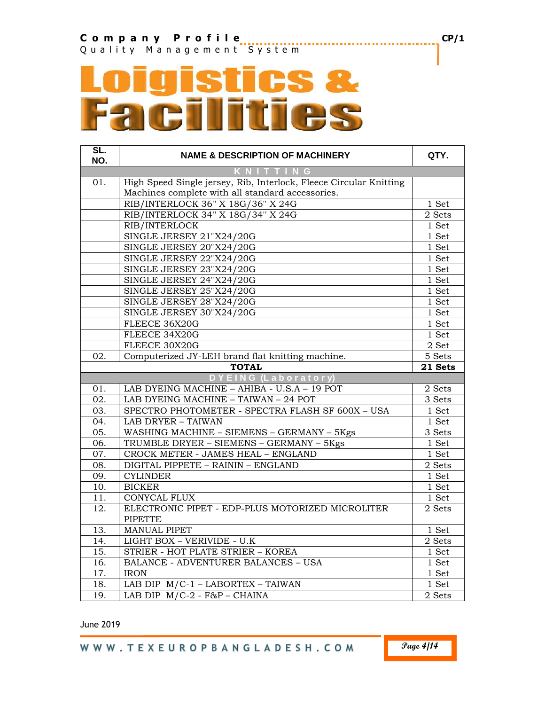# R, n.

| SL.<br>NO. | <b>NAME &amp; DESCRIPTION OF MACHINERY</b>                         | QTY.    |
|------------|--------------------------------------------------------------------|---------|
|            | $\mathbb{G}$                                                       |         |
| 01.        | High Speed Single jersey, Rib, Interlock, Fleece Circular Knitting |         |
|            | Machines complete with all standard accessories.                   |         |
|            | RIB/INTERLOCK 36" X 18G/36" X 24G                                  | 1 Set   |
|            | RIB/INTERLOCK 34" X 18G/34" X 24G                                  | 2 Sets  |
|            | RIB/INTERLOCK                                                      | 1 Set   |
|            | SINGLE JERSEY 21"X24/20G                                           | 1 Set   |
|            | SINGLE JERSEY 20"X24/20G                                           | 1 Set   |
|            | SINGLE JERSEY 22"X24/20G                                           | 1 Set   |
|            | SINGLE JERSEY 23"X24/20G                                           | 1 Set   |
|            | SINGLE JERSEY 24"X24/20G                                           | 1 Set   |
|            | SINGLE JERSEY 25"X24/20G                                           | 1 Set   |
|            | SINGLE JERSEY 28"X24/20G                                           | 1 Set   |
|            | SINGLE JERSEY 30"X24/20G                                           | 1 Set   |
|            | FLEECE 36X20G                                                      | $1$ Set |
|            | FLEECE 34X20G                                                      | 1 Set   |
|            | FLEECE 30X20G                                                      | 2 Set   |
| 02.        | Computerized JY-LEH brand flat knitting machine.                   | 5 Sets  |
|            | <b>TOTAL</b>                                                       | 21 Sets |
|            | <b>DYEING (Laboratory)</b>                                         |         |
| 01.        | LAB DYEING MACHINE - AHIBA - U.S.A - 19 POT                        | 2 Sets  |
| 02.        | LAB DYEING MACHINE - TAIWAN - 24 POT                               | 3 Sets  |
| 03.        | SPECTRO PHOTOMETER - SPECTRA FLASH SF 600X - USA                   | 1 Set   |
| 04.        | LAB DRYER - TAIWAN                                                 | 1 Set   |
| 05.        | WASHING MACHINE - SIEMENS - GERMANY - 5Kgs                         | 3 Sets  |
| 06.        | TRUMBLE DRYER - SIEMENS - GERMANY - 5Kgs                           | $1$ Set |
| 07.        | CROCK METER - JAMES HEAL - ENGLAND                                 | 1 Set   |
| 08.        | DIGITAL PIPPETE - RAININ - ENGLAND                                 | 2 Sets  |
| 09.        | <b>CYLINDER</b>                                                    | $1$ Set |
| 10.        | <b>BICKER</b>                                                      | $1$ Set |
| 11.        | CONYCAL FLUX                                                       | 1 Set   |
| 12.        | ELECTRONIC PIPET - EDP-PLUS MOTORIZED MICROLITER                   | 2 Sets  |
|            | <b>PIPETTE</b>                                                     |         |
| 13.        | <b>MANUAL PIPET</b>                                                | 1 Set   |
| 14.        | LIGHT BOX - VERIVIDE - U.K                                         | 2 Sets  |
| 15.        | STRIER - HOT PLATE STRIER - KOREA                                  | $1$ Set |
| 16.        | <b>BALANCE - ADVENTURER BALANCES - USA</b>                         | 1 Set   |
| 17.        | <b>IRON</b>                                                        | 1 Set   |
| 18.        | LAB DIP M/C-1 - LABORTEX - TAIWAN                                  | 1 Set   |
| 19.        | LAB DIP M/C-2 - F&P - CHAINA                                       | 2 Sets  |

June 2019

**Page 4/14**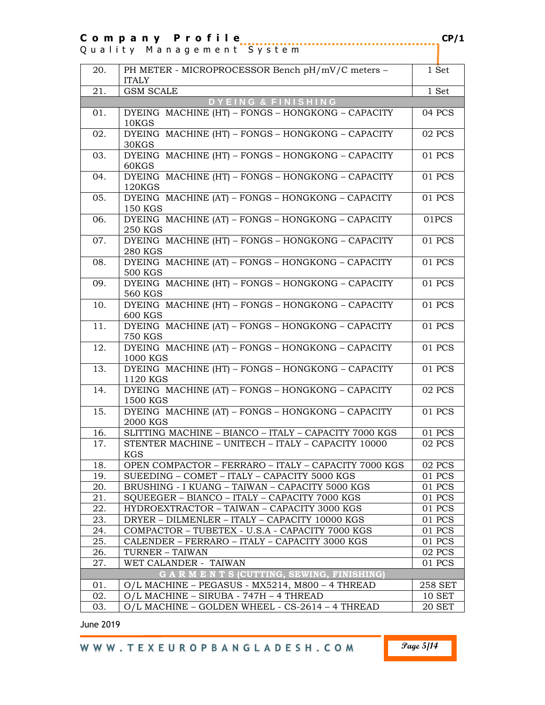**C o m p a n y P r o f i l e CP/1**

|  | Quality Management System |  |  |  |  |  |  |  |  |
|--|---------------------------|--|--|--|--|--|--|--|--|

| 20. | PH METER - MICROPROCESSOR Bench pH/mV/C meters -<br><b>ITALY</b> | 1 Set         |
|-----|------------------------------------------------------------------|---------------|
| 21. | <b>GSM SCALE</b>                                                 | 1 Set         |
|     | DYEING & FINISHING                                               |               |
| 01. | DYEING MACHINE (HT) - FONGS - HONGKONG - CAPACITY<br>10KGS       | 04 PCS        |
| 02. | DYEING MACHINE (HT) - FONGS - HONGKONG - CAPACITY<br>30KGS       | 02 PCS        |
| 03. | DYEING MACHINE (HT) - FONGS - HONGKONG - CAPACITY<br>60KGS       | 01 PCS        |
| 04. | DYEING MACHINE (HT) - FONGS - HONGKONG - CAPACITY<br>120KGS      | 01 PCS        |
| 05. | DYEING MACHINE (AT) - FONGS - HONGKONG - CAPACITY<br>150 KGS     | 01 PCS        |
| 06. | DYEING MACHINE (AT) - FONGS - HONGKONG - CAPACITY<br>250 KGS     | 01PCS         |
| 07. | DYEING MACHINE (HT) - FONGS - HONGKONG - CAPACITY<br>280 KGS     | 01 PCS        |
| 08. | DYEING MACHINE (AT) - FONGS - HONGKONG - CAPACITY<br>500 KGS     | 01 PCS        |
| 09. | DYEING MACHINE (HT) - FONGS - HONGKONG - CAPACITY<br>560 KGS     | 01 PCS        |
| 10. | DYEING MACHINE (HT) - FONGS - HONGKONG - CAPACITY<br>600 KGS     | 01 PCS        |
| 11. | DYEING MACHINE (AT) - FONGS - HONGKONG - CAPACITY<br>750 KGS     | 01 PCS        |
| 12. | DYEING MACHINE (AT) - FONGS - HONGKONG - CAPACITY<br>1000 KGS    | 01 PCS        |
| 13. | DYEING MACHINE (HT) - FONGS - HONGKONG - CAPACITY<br>1120 KGS    | 01 PCS        |
| 14. | DYEING MACHINE (AT) - FONGS - HONGKONG - CAPACITY<br>1500 KGS    | 02 PCS        |
| 15. | DYEING MACHINE (AT) - FONGS - HONGKONG - CAPACITY<br>2000 KGS    | 01 PCS        |
| 16. | SLITTING MACHINE - BIANCO - ITALY - CAPACITY 7000 KGS            | 01 PCS        |
| 17. | STENTER MACHINE - UNITECH - ITALY - CAPACITY 10000<br><b>KGS</b> | 02 PCS        |
| 18. | OPEN COMPACTOR - FERRARO - ITALY - CAPACITY 7000 KGS             | 02 PCS        |
| 19. | SUEEDING - COMET - ITALY - CAPACITY 5000 KGS                     | 01 PCS        |
| 20. | BRUSHING - I KUANG - TAIWAN - CAPACITY 5000 KGS                  | 01 PCS        |
| 21. | SQUEEGER - BIANCO - ITALY - CAPACITY 7000 KGS                    | 01 PCS        |
| 22. | HYDROEXTRACTOR - TAIWAN - CAPACITY 3000 KGS                      | 01 PCS        |
| 23. | DRYER - DILMENLER - ITALY - CAPACITY 10000 KGS                   | 01 PCS        |
| 24. | COMPACTOR - TUBETEX - U.S.A - CAPACITY 7000 KGS                  | 01 PCS        |
| 25. | CALENDER – FERRARO – ITALY – CAPACITY 3000 KGS                   | 01 PCS        |
| 26. | TURNER - TAIWAN                                                  | 02 PCS        |
| 27. | WET CALANDER - TAIWAN                                            | 01 PCS        |
|     | G A R M E N T S (CUTTING, SEWING, FINISHING)                     |               |
| 01. | O/L MACHINE - PEGASUS - MX5214, M800 - 4 THREAD                  | 258 SET       |
| 02. | O/L MACHINE - SIRUBA - 747H - 4 THREAD                           | <b>10 SET</b> |
| 03. | O/L MACHINE - GOLDEN WHEEL - CS-2614 - 4 THREAD                  | <b>20 SET</b> |

June 2019

WWW.TEXEUROPBANGLADESH.COM

**Page 5/14**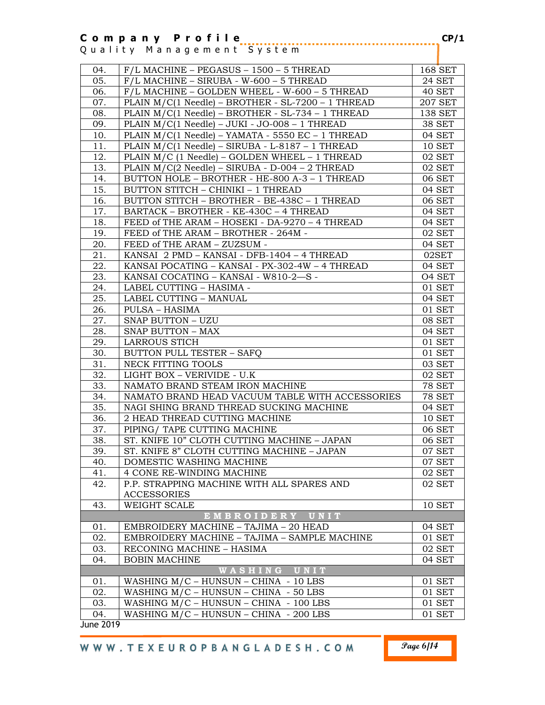| 04.              | $F/L$ MACHINE – PEGASUS – 1500 – 5 THREAD          | 168 SET            |
|------------------|----------------------------------------------------|--------------------|
| 05.              | $F/L$ MACHINE - SIRUBA - W-600 - 5 THREAD          | 24 SET             |
| 06.              | F/L MACHINE - GOLDEN WHEEL - W-600 - 5 THREAD      | 40 SET             |
| 07.              | PLAIN M/C(1 Needle) - BROTHER - SL-7200 - 1 THREAD | <b>207 SET</b>     |
| 08.              | PLAIN M/C(1 Needle) - BROTHER - SL-734 - 1 THREAD  | <b>138 SET</b>     |
| 09.              | PLAIN M/C(1 Needle) - JUKI - JO-008 - 1 THREAD     | <b>38 SET</b>      |
| 10.              | PLAIN M/C(1 Needle) - YAMATA - 5550 EC - 1 THREAD  | 04 SET             |
| 11.              | PLAIN M/C(1 Needle) - SIRUBA - L-8187 - 1 THREAD   | <b>10 SET</b>      |
| 12.              | PLAIN M/C (1 Needle) - GOLDEN WHEEL - 1 THREAD     | 02 SET             |
| 13.              | PLAIN M/C(2 Needle) - SIRUBA - D-004 - 2 THREAD    | 02 SET             |
| 14.              | BUTTON HOLE - BROTHER - HE-800 A-3 - 1 THREAD      | 06 SET             |
| 15.              | BUTTON STITCH - CHINIKI - 1 THREAD                 | 04 SET             |
| 16.              | BUTTON STITCH - BROTHER - BE-438C - 1 THREAD       | 06 SET             |
| 17.              | BARTACK - BROTHER - KE-430C - 4 THREAD             | 04 SET             |
| 18.              | FEED of THE ARAM - HOSEKI - DA-9270 - 4 THREAD     | 04 SET             |
| 19.              | FEED of THE ARAM - BROTHER - 264M -                | 02 SET             |
| 20.              | FEED of THE ARAM - ZUZSUM -                        | 04 SET             |
| 21.              | KANSAI 2 PMD - KANSAI - DFB-1404 - 4 THREAD        | 02SET              |
| 22.              | KANSAI POCATING - KANSAI - PX-302-4W - 4 THREAD    | 04 SET             |
| 23.              | KANSAI COCATING - KANSAI - W810-2-S -              | O <sub>4</sub> SET |
| 24.              | LABEL CUTTING - HASIMA -                           | 01 SET             |
| 25.              | LABEL CUTTING - MANUAL                             | 04 SET             |
| 26.              | PULSA – HASIMA                                     | 01 SET             |
| 27.              | SNAP BUTTON - UZU                                  | 08 SET             |
| 28.              | SNAP BUTTON - MAX                                  | 04 SET             |
| 29.              | <b>LARROUS STICH</b>                               | 01 SET             |
| 30.              | <b>BUTTON PULL TESTER - SAFQ</b>                   | 01 SET             |
| 31.              | NECK FITTING TOOLS                                 | 03 SET             |
| 32.              | LIGHT BOX - VERIVIDE - U.K                         | 02 SET             |
| 33.              | NAMATO BRAND STEAM IRON MACHINE                    | <b>78 SET</b>      |
| 34.              | NAMATO BRAND HEAD VACUUM TABLE WITH ACCESSORIES    | <b>78 SET</b>      |
| 35.              | NAGI SHING BRAND THREAD SUCKING MACHINE            | 04 SET             |
| 36.              | 2 HEAD THREAD CUTTING MACHINE                      | <b>10 SET</b>      |
| 37.              | PIPING/ TAPE CUTTING MACHINE                       | <b>06 SET</b>      |
| 38.              | ST. KNIFE 10" CLOTH CUTTING MACHINE - JAPAN        | 06 SET             |
| 39.              | ST. KNIFE 8" CLOTH CUTTING MACHINE - JAPAN         | 07 SET             |
| 40.              | DOMESTIC WASHING MACHINE                           | 07 SET             |
| 41.              | 4 CONE RE-WINDING MACHINE                          | 02 SET             |
| 42.              | P.P. STRAPPING MACHINE WITH ALL SPARES AND         | 02 SET             |
|                  | <b>ACCESSORIES</b>                                 |                    |
| 43.              | <b>WEIGHT SCALE</b>                                | <b>10 SET</b>      |
|                  | EMBROIDERY UNIT                                    |                    |
| 01.              | EMBROIDERY MACHINE - TAJIMA - 20 HEAD              | 04 SET             |
| 02.              | EMBROIDERY MACHINE - TAJIMA - SAMPLE MACHINE       | 01 SET             |
| 03.              | RECONING MACHINE - HASIMA                          | 02 SET             |
| 04.              | <b>BOBIN MACHINE</b>                               | 04 SET             |
|                  | WASHING UNIT                                       |                    |
| 01.              | WASHING $M/C$ – HUNSUN – CHINA - 10 LBS            | 01 SET             |
| 02.              | WASHING M/C - HUNSUN - CHINA - 50 LBS              | 01 SET             |
| 03.              | WASHING M/C - HUNSUN - CHINA - 100 LBS             | 01 SET             |
| 04.              | WASHING M/C - HUNSUN - CHINA - 200 LBS             | 01 SET             |
| <b>June 2019</b> |                                                    |                    |

WWW.TEXEUROPBANGLADESH.COM

**Page 6/14**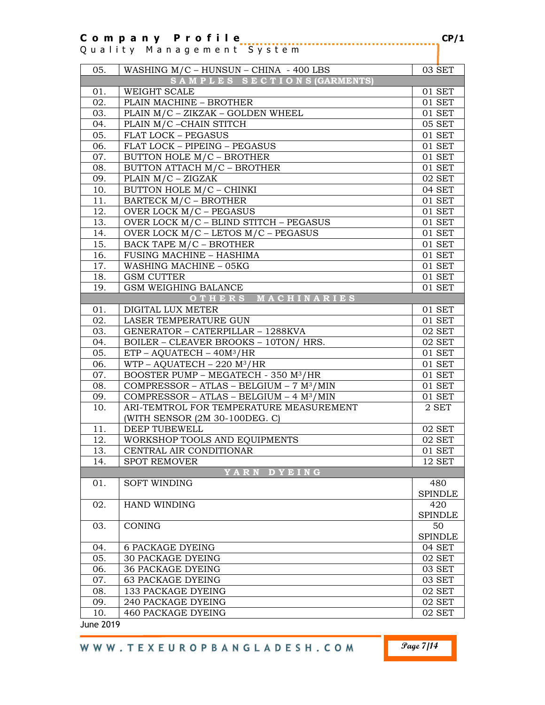| 05. | WASHING M/C - HUNSUN - CHINA - 400 LBS           | 03 SET         |
|-----|--------------------------------------------------|----------------|
|     | SAMPLES SECTIONS (GARMENTS)                      |                |
| 01. | <b>WEIGHT SCALE</b>                              | 01 SET         |
| 02. | PLAIN MACHINE - BROTHER                          | 01 SET         |
| 03. | PLAIN M/C - ZIKZAK - GOLDEN WHEEL                | 01 SET         |
| 04. | PLAIN M/C-CHAIN STITCH                           | 05 SET         |
| 05. | <b>FLAT LOCK - PEGASUS</b>                       | 01 SET         |
| 06. | FLAT LOCK - PIPEING - PEGASUS                    | 01 SET         |
| 07. | BUTTON HOLE M/C - BROTHER                        | 01 SET         |
| 08. | BUTTON ATTACH M/C - BROTHER                      | 01 SET         |
| 09. | PLAIN $M/C - ZIGZAK$                             | 02 SET         |
| 10. | BUTTON HOLE M/C - CHINKI                         | 04 SET         |
| 11. | BARTECK M/C - BROTHER                            | 01 SET         |
| 12. | <b>OVER LOCK M/C - PEGASUS</b>                   | 01 SET         |
| 13. | OVER LOCK M/C - BLIND STITCH - PEGASUS           | 01 SET         |
| 14. | OVER LOCK M/C - LETOS M/C - PEGASUS              | 01 SET         |
| 15. | <b>BACK TAPE M/C - BROTHER</b>                   | 01 SET         |
| 16. | FUSING MACHINE - HASHIMA                         | 01 SET         |
| 17. | WASHING MACHINE - 05KG                           | 01 SET         |
| 18. | <b>GSM CUTTER</b>                                | 01 SET         |
| 19. | <b>GSM WEIGHING BALANCE</b>                      | 01 SET         |
|     | OTHERS MACHINARIES                               |                |
| 01. | DIGITAL LUX METER                                | 01 SET         |
| 02. | LASER TEMPERATURE GUN                            | 01 SET         |
| 03. | GENERATOR - CATERPILLAR - 1288KVA                | 02 SET         |
| 04. | BOILER - CLEAVER BROOKS - 10TON/ HRS.            | 02 SET         |
| 05. | $ETP - AQUATECH - 40M^3/HR$                      | 01 SET         |
| 06. | WTP-AQUATECH-220 M <sup>3</sup> /HR              | 01 SET         |
| 07. | BOOSTER PUMP - MEGATECH - 350 M <sup>3</sup> /HR | 01 SET         |
| 08. | COMPRESSOR - ATLAS - BELGIUM - $7 M3/MIN$        | 01 SET         |
| 09. | COMPRESSOR - ATLAS - BELGIUM - $4 M3/MIN$        | 01 SET         |
| 10. | ARI-TEMTROL FOR TEMPERATURE MEASUREMENT          | 2 SET          |
|     | (WITH SENSOR (2M 30-100DEG. C)                   |                |
| 11. | DEEP TUBEWELL                                    | 02 SET         |
| 12. | WORKSHOP TOOLS AND EQUIPMENTS                    | 02 SET         |
| 13. | CENTRAL AIR CONDITIONAR                          | 01 SET         |
| 14. | <b>SPOT REMOVER</b>                              | 12 SET         |
|     | YARN DYEING                                      |                |
| 01. | <b>SOFT WINDING</b>                              | 480            |
|     |                                                  | <b>SPINDLE</b> |
| 02. | <b>HAND WINDING</b>                              | 420            |
|     |                                                  | <b>SPINDLE</b> |
| 03. | <b>CONING</b>                                    | 50             |
|     |                                                  | <b>SPINDLE</b> |
| 04. | <b>6 PACKAGE DYEING</b>                          | 04 SET         |
| 05. | <b>30 PACKAGE DYEING</b>                         | 02 SET         |
| 06. | <b>36 PACKAGE DYEING</b>                         | 03 SET         |
| 07. | <b>63 PACKAGE DYEING</b>                         | 03 SET         |
| 08. | 133 PACKAGE DYEING                               | 02 SET         |
| 09. | 240 PACKAGE DYEING                               | 02 SET         |
| 10. | <b>460 PACKAGE DYEING</b>                        | 02 SET         |
|     |                                                  |                |

June 2019

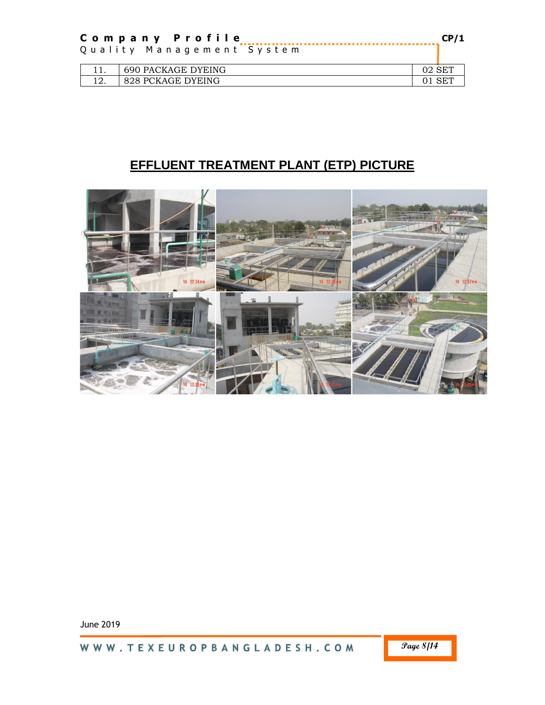| <b>.</b> | 690 PACKAGE DYEING | ◡∠ | SE I |
|----------|--------------------|----|------|
| 14.      | 828 PCKAGE DYEING  |    |      |

# **EFFLUENT TREATMENT PLANT (ETP) PICTURE**

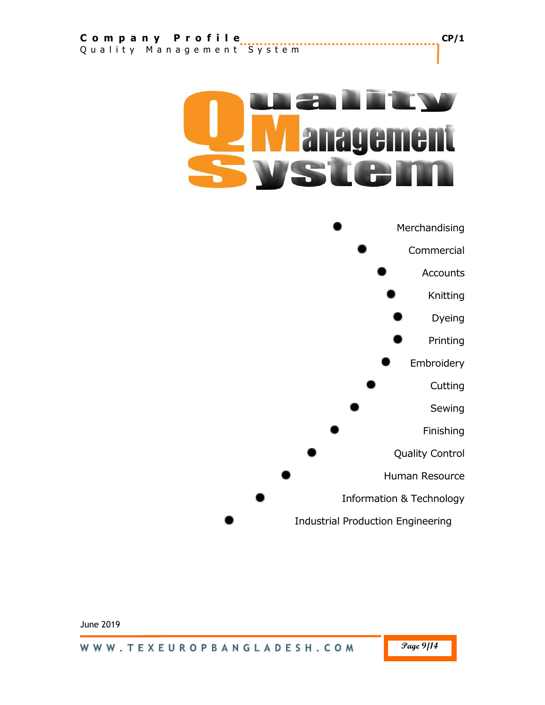# a nagement

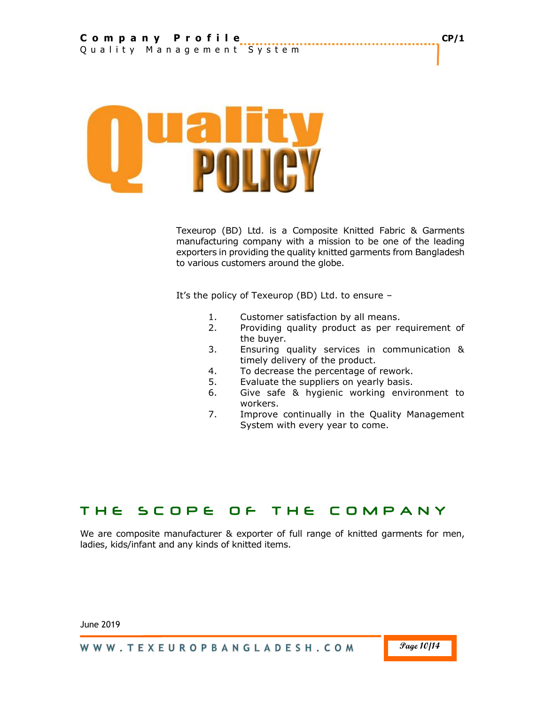

Texeurop (BD) Ltd. is a Composite Knitted Fabric & Garments manufacturing company with a mission to be one of the leading exporters in providing the quality knitted garments from Bangladesh to various customers around the globe.

It's the policy of Texeurop (BD) Ltd. to ensure –

- 1. Customer satisfaction by all means.
- 2. Providing quality product as per requirement of the buyer.
- 3. Ensuring quality services in communication & timely delivery of the product.
- 4. To decrease the percentage of rework.
- 5. Evaluate the suppliers on yearly basis.
- 6. Give safe & hygienic working environment to workers.
- 7. Improve continually in the Quality Management System with every year to come.

# THE SCOPE OF THE COMPANY

We are composite manufacturer & exporter of full range of knitted garments for men, ladies, kids/infant and any kinds of knitted items.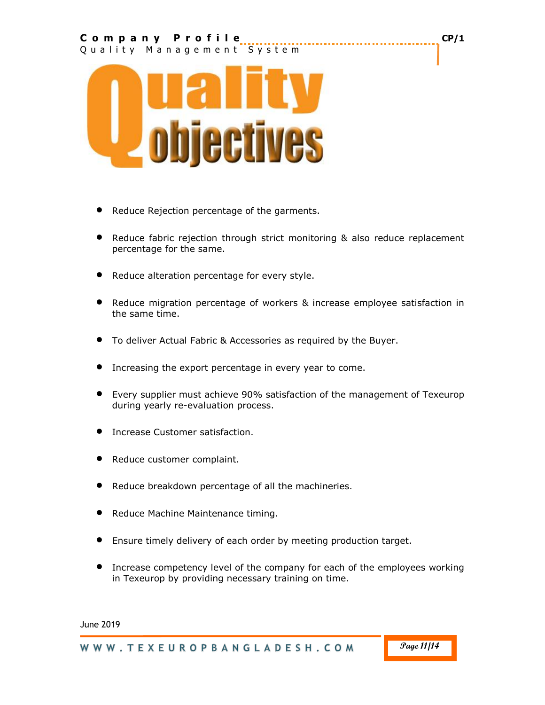## **C o m p a n y P r o f i l e CP/1** Q u a lity Management System



- Reduce Rejection percentage of the garments.
- Reduce fabric rejection through strict monitoring & also reduce replacement percentage for the same.
- **•** Reduce alteration percentage for every style.
- Reduce migration percentage of workers & increase employee satisfaction in the same time.
- To deliver Actual Fabric & Accessories as required by the Buyer.
- **•** Increasing the export percentage in every year to come.
- Every supplier must achieve 90% satisfaction of the management of Texeurop during yearly re-evaluation process.
- **•** Increase Customer satisfaction.
- Reduce customer complaint.
- Reduce breakdown percentage of all the machineries.
- **•** Reduce Machine Maintenance timing.
- Ensure timely delivery of each order by meeting production target.
- **•** Increase competency level of the company for each of the employees working in Texeurop by providing necessary training on time.

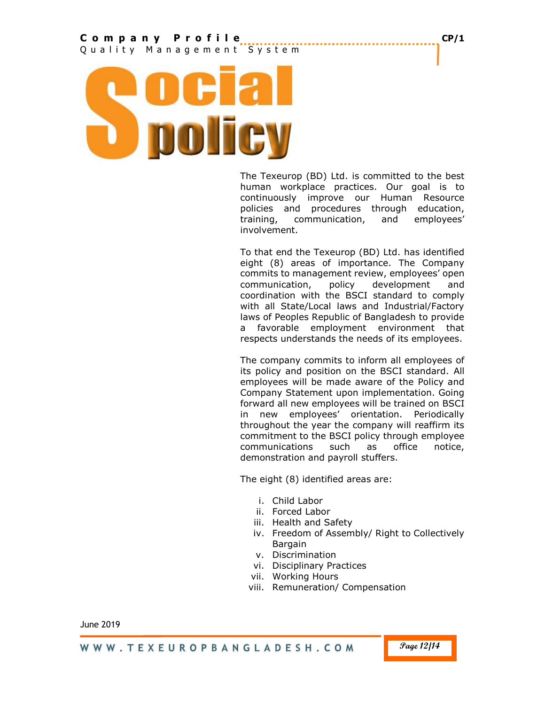#### **C o m p a n y P r o f i l e CP/1** Q u a lity Management System



The Texeurop (BD) Ltd. is committed to the best human workplace practices. Our goal is to continuously improve our Human Resource policies and procedures through education, training, communication, and employees' involvement.

To that end the Texeurop (BD) Ltd. has identified eight (8) areas of importance. The Company commits to management review, employees' open communication, policy development and coordination with the BSCI standard to comply with all State/Local laws and Industrial/Factory laws of Peoples Republic of Bangladesh to provide a favorable employment environment that respects understands the needs of its employees.

The company commits to inform all employees of its policy and position on the BSCI standard. All employees will be made aware of the Policy and Company Statement upon implementation. Going forward all new employees will be trained on BSCI in new employees' orientation. Periodically throughout the year the company will reaffirm its commitment to the BSCI policy through employee communications such as office notice, demonstration and payroll stuffers.

The eight (8) identified areas are:

- i. Child Labor
- ii. Forced Labor
- iii. Health and Safety
- iv. Freedom of Assembly/ Right to Collectively Bargain
- v. Discrimination
- vi. Disciplinary Practices
- vii. Working Hours
- viii. Remuneration/ Compensation

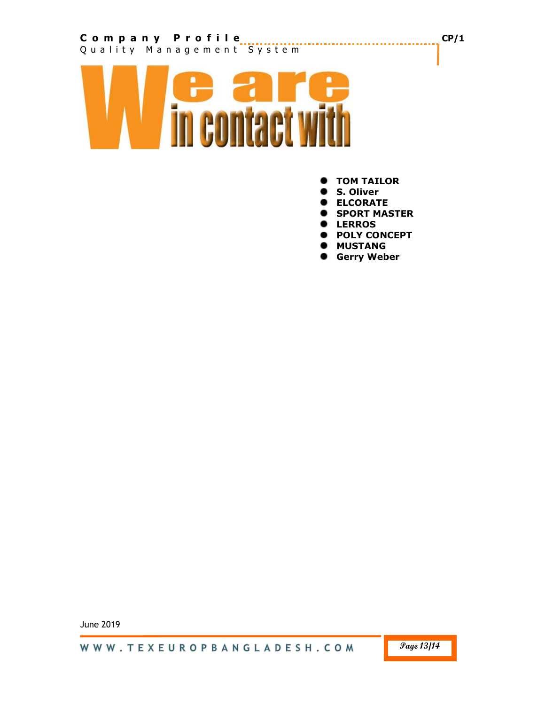

- **TOM TAILOR**
- **S. Oliver**
- **ELCORATE**
- **SPORT MASTER**
- **LERROS**
- **POLY CONCEPT**
- $\bullet$  **MUSTANG**
- **Gerry Weber**